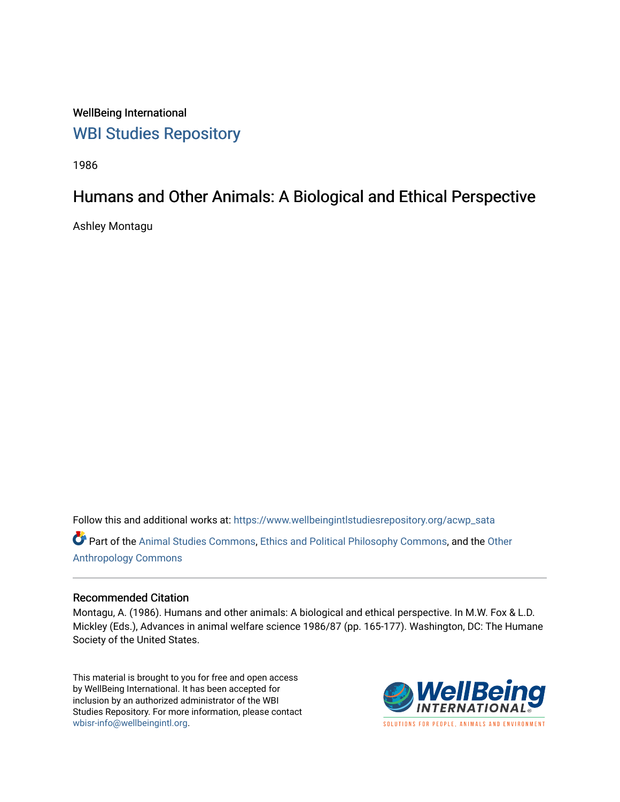WellBeing International [WBI Studies Repository](https://www.wellbeingintlstudiesrepository.org/)

1986

# Humans and Other Animals: A Biological and Ethical Perspective

Ashley Montagu

Follow this and additional works at: [https://www.wellbeingintlstudiesrepository.org/acwp\\_sata](https://www.wellbeingintlstudiesrepository.org/acwp_sata?utm_source=www.wellbeingintlstudiesrepository.org%2Facwp_sata%2F5&utm_medium=PDF&utm_campaign=PDFCoverPages) Part of the [Animal Studies Commons,](http://network.bepress.com/hgg/discipline/1306?utm_source=www.wellbeingintlstudiesrepository.org%2Facwp_sata%2F5&utm_medium=PDF&utm_campaign=PDFCoverPages) [Ethics and Political Philosophy Commons,](http://network.bepress.com/hgg/discipline/529?utm_source=www.wellbeingintlstudiesrepository.org%2Facwp_sata%2F5&utm_medium=PDF&utm_campaign=PDFCoverPages) and the [Other](http://network.bepress.com/hgg/discipline/324?utm_source=www.wellbeingintlstudiesrepository.org%2Facwp_sata%2F5&utm_medium=PDF&utm_campaign=PDFCoverPages) [Anthropology Commons](http://network.bepress.com/hgg/discipline/324?utm_source=www.wellbeingintlstudiesrepository.org%2Facwp_sata%2F5&utm_medium=PDF&utm_campaign=PDFCoverPages)

# Recommended Citation

Montagu, A. (1986). Humans and other animals: A biological and ethical perspective. In M.W. Fox & L.D. Mickley (Eds.), Advances in animal welfare science 1986/87 (pp. 165-177). Washington, DC: The Humane Society of the United States.

This material is brought to you for free and open access by WellBeing International. It has been accepted for inclusion by an authorized administrator of the WBI Studies Repository. For more information, please contact [wbisr-info@wellbeingintl.org](mailto:wbisr-info@wellbeingintl.org).



**SOLUTIONS FOR PEOPLE. ANIMALS AND ENVIRONMENT**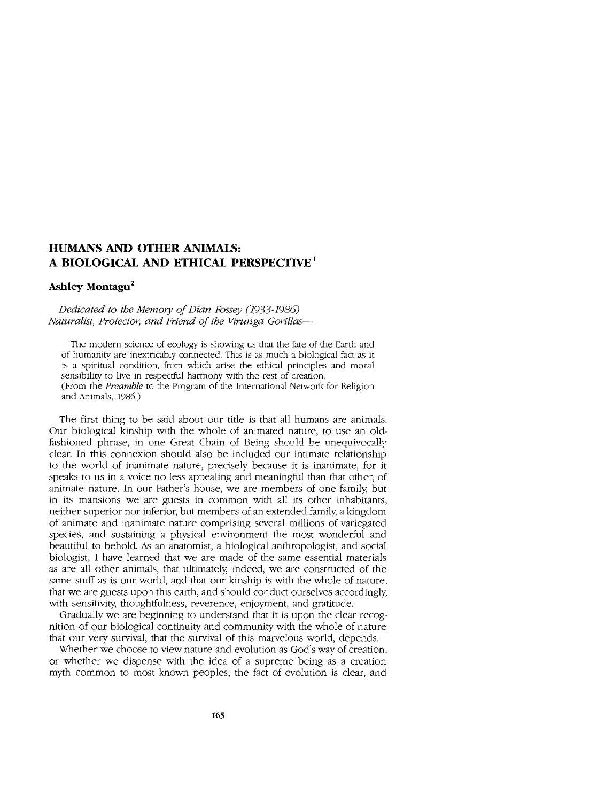# **HUMANS AND OTHER ANIMALS: A BIOLOGICAL AND ETHICAL PERSPECTIVE<sup>1</sup>**

# **Ashley Montagu<sup>2</sup>**

*Dedicated to the Memory of Dian Fossey (1933-1986) Naturalist, Protector, and Friend of the Virunga Gorillas'-*

The modern science of ecology is showing us that the fate of the Earth and of humanity are inextricably connected. This is as much a biological fact as it is a spiritual condition, from which arise the ethical principles and moral sensibility to live in respectful harmony with the rest of creation. (From the *Preamble* to the Program of the International Network for Religion and Animals, 1986.)

The first thing to be said about our title is that all humans are animals. Our biological kinship with the whole of animated nature, to use an oldfashioned phrase, in one Great Chain of Being should be unequivocally clear. In this connexion should also be included our intimate relationship to the world of inanimate nature, precisely because it is inanimate, for it speaks to us in a voice no less appealing and meaningful than that other, of animate nature. In our Father's house, we are members of one family, but in its mansions we are guests in common with all its other inhabitants, neither superior nor inferior, but members of an extended family, a kingdom of animate and inanimate nature comprising several millions of variegated species, and sustaining a physical environment the most wonderful and beautiful to behold. As an anatomist, a biological anthropologist, and social biologist, I have learned that we are made of the same essential materials as are all other animals, that ultimately, indeed, we are constructed of the same stuff as is our world, and that our kinship is with the whole of nature, that we are guests upon this earth, and should conduct ourselves accordingly, with sensitivity, thoughtfulness, reverence, enjoyment, and gratitude.

Gradually we are beginning to understand that it is upon the clear recognition of our biological continuity and community with the whole of nature that our very survival, that the survival of this marvelous world, depends.

Whether we choose to view nature and evolution as God's way of creation, or whether we dispense with the idea of a supreme being as a creation myth common to most known peoples, the fact of evolution is clear, and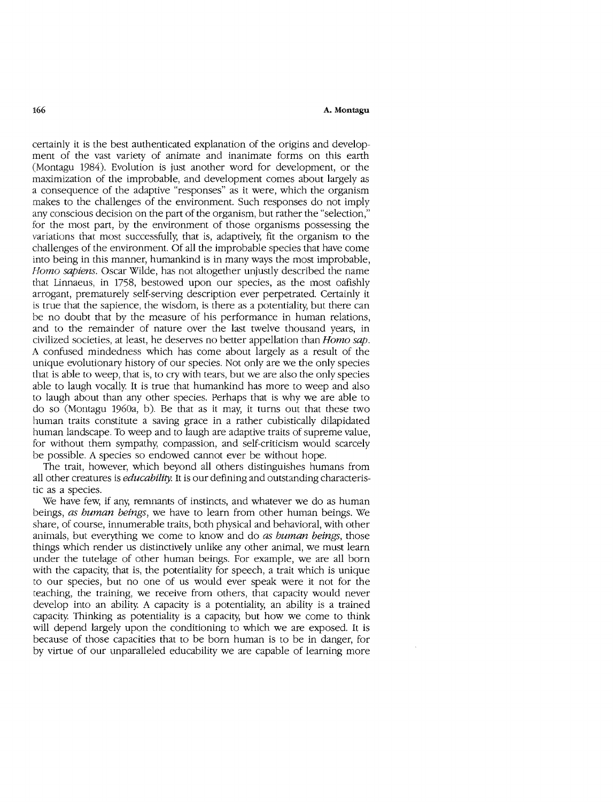certainly it is the best authenticated explanation of the origins and development of the vast variety of animate and inanimate forms on this earth (Montagu 1984). Evolution is just another word for development, or the maximization of the improbable, and development comes about largely as a consequence of the adaptive "responses" as it were, which the organism makes to the challenges of the environment. Such responses do not imply any conscious decision on the part of the organism, but rather the "selection," for the most part, by the environment of those organisms possessing the variations that most successfuliy, that is, adaptiveiy, fit the organism to the challenges of the environment. Of all the improbable species that have come into being in this manner, humankind is in many ways the most improbable, *Homo sapiens.* Oscar Wilde, has not altogether unjustly described the name that Linnaeus, in 1758, bestowed upon our species, as the most oafishly arrogant, prematurely self-serving description ever perpetrated. Certainly it is true that the sapience, the wisdom, is there as a potentiality, but there can be no doubt that by the measure of his performance in human relations, and to the remainder of nature over the last twelve thousand years, in civilized societies, at least, he deserves no better appellation than *Homo sap.*  A confused mindedness which has come about largely as a result of the unique evolutionary history of our species. Not only are we the only species that is able to weep, that is, to cry with tears, but we are also the only species able to laugh vocally. It is true that humankind has more to weep and also to laugh about than any other species. Perhaps that is why we are able to do so (Montagu 1960a, b). Be that as it may, it turns out that these two human traits constitute a saving grace in a rather cubistically dilapidated human landscape. To weep and to laugh are adaptive traits of supreme value, for without them sympathy, compassion, and self-criticism would scarcely be possible. A species so endowed cannot ever be without hope.

The trait, however, which beyond all others distinguishes humans from all other creatures is *educability.* It is our defining and outstanding characteristic as a species.

We have few, if any, remnants of instincts, and whatever we do as human beings, *as human beings,* we have to learn from other human beings. We share, of course, innumerable traits, both physical and behavioral, with other animals, but everything we come to know and do *as human beings,* those things which render us distinctively unlike any other animal, we must learn under the tutelage of other human beings. For example, we are all born with the capacity, that is, the potentiality for speech, a trait which is unique to our species, but no one of us would ever speak were it not for the teaching, the training, we receive from others, that capacity would never develop into an ability. A capacity is a potentiality, an ability is a trained capacity. Thinking as potentiality is a capacity, but how we come to think will depend largely upon the conditioning to which we are exposed. It is because of those capacities that to be born human is to be in danger, for by virtue of our unparalleled educability we are capable of learning more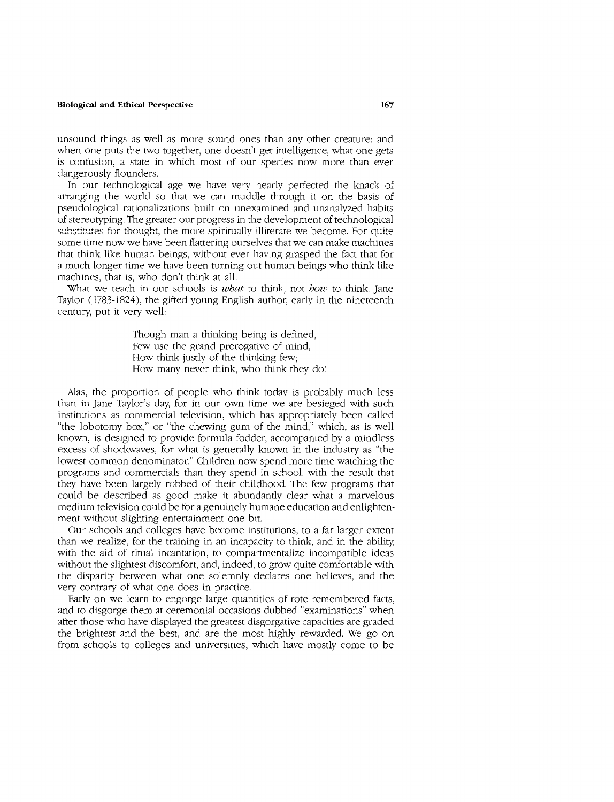#### **Biological and Ethical Perspective 167 and 167 and 167 and 167 and 167 and 167 and 167 and 167 and 167 and 167 and 167 and 167 and 167 and 167 and 167 and 167 and 167 and 167 and 167 and 167 and 167 and 167 and 167 and 16**

unsound things as well as more sound ones than any other creature: and when one puts the two together, one doesn't get intelligence, what one gets is confusion, a state in which most of our species now more than ever dangerously flounders.

In our technological age we have very nearly perfected the knack of arranging the world so that we can muddle through it on the basis of pseudological rationalizations built on unexamined and unanalyzed habits of stereotyping. The greater our progress in the development of technological substitutes for thought, the more spiritually illiterate we become. For quite some time now we have been flattering ourselves that we can make machines that think like human beings, without ever having grasped the fact that for a much longer time we have been turning out human beings who think like machines, that is, who don't think at all.

What we teach in our schools is *what* to think, not *how* to think Jane Taylor (1783-1824), the gifted young English author, early in the nineteenth century, put it very well:

> Though man a thinking being is defined, Few use the grand prerogative of mind, How think justly of the thinking few; How many never think, who think they do!

Alas, the proportion of people who think today is probably much less than in Jane Taylor's day, for in our own time we are besieged with such institutions as commercial television, which has appropriately been called "the lobotomy box," or "the chewing gum of the mind," which, as is well known, is designed to provide formula fodder, accompanied by a mindless excess of shockwaves, for what is generally known in the industry as "the lowest common denominator." Children now spend more time watching the programs and commercials than they spend in school, with the result that they have been largely robbed of their childhood. The few programs that could be described as good make it abundantly clear what a marvelous medium television could be for a genuinely humane education and enlightenment without slighting entertainment one bit.

Our schools and colleges have become institutions, to a far larger extent than we realize, for the training in an incapacity to think, and in the ability, with the aid of ritual incantation, to compartmentalize incompatible ideas without the slightest discomfort, and, indeed, to grow quite comfortable with the disparity between what one solemnly declares one believes, and the very contrary of what one does in practice.

Early on we learn to engorge large quantities of rote remembered facts, and to disgorge them at ceremonial occasions dubbed "examinations" when after those who have displayed the greatest disgorgative capacities are graded the brightest and the best, and are the most highly rewarded. We go on from schools to colleges and universities, which have mostly come to be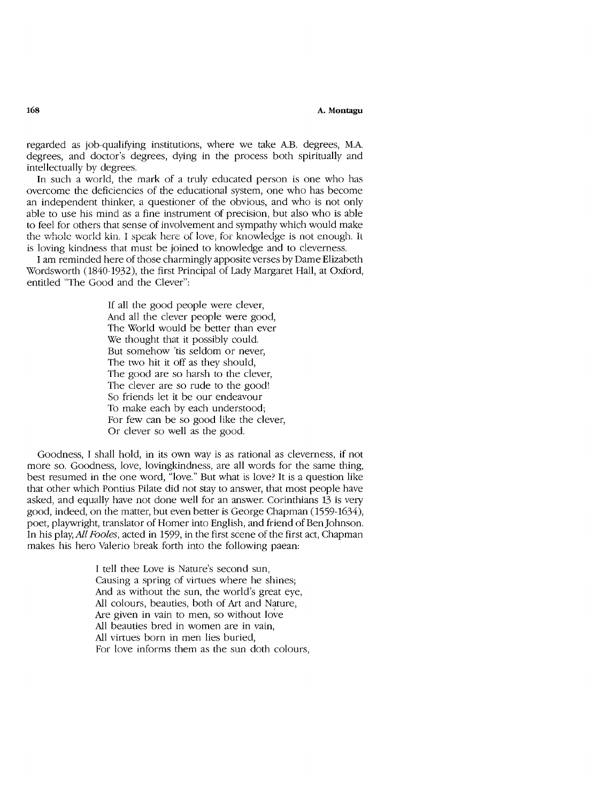regarded as job-qualifying institutions, where we take A.B. degrees, M.A. degrees, and doctor's degrees, dying in the process both spiritually and intellectually by degrees.

In such a world, the mark of a truly educated person is one who has overcome the deficiencies of the educational system, one who has become an independent thinker, a questioner of the obvious, and who is not only able to use his mind as a fine instrument of precision, but also who is able to feel for others that sense of involvement and sympathy which would make the wholc world kin. I speak here of love, for knowledge is not enough. It is loving kindness that must be joined to knowledge and to cleverness.

I am reminded here of those charmingly apposite verses by Dame Elizabeth Wordsworth (1840-1932), the first Principal of Lady Margaret Hall, at Oxford, entitled "The Good and the Clever":

> If all the good people were clever, And all the clever people were good, The World would be better than ever We thought that it possibly could. But somehow 'tis seldom or never, The two hit it off as they should, The good are so harsh to the clever, The clever are so rude to the good! So friends let it be our endeavour To make each by each understood; For few can be so good like the clever, Or clever so well as the good.

Goodness, I shall hold, in its own way is as rational as cleverness, if not more so. Goodness, love, lovingkindness, are all words for the same thing, best resumed in the one word, "love." But what is love? It is a question like that other which Pontius Pilate did not stay to answer, that most people have asked, and equally have not done well for an answer. Corinthians 13 is very good, indeed, on the matter, but even better is George Chapman (1559-1634), poet, playwright, translator of Homer into English, and friend of Ben Johnson. In his play, *All Fooles,* acted in 1599, in the first scene of the first act, Chapman makes his hero Valerio break forth into the following paean:

> I tell thee Love is Nature's second sun, Causing a spring of virtues where he shines; And as without the sun, the world's great eye, All colours, beauties, both of Art and Nature, Are given in vain to men, so without love All beauties bred in women are in vain, All virtues born in men lies buried, For love informs them as the sun doth colours,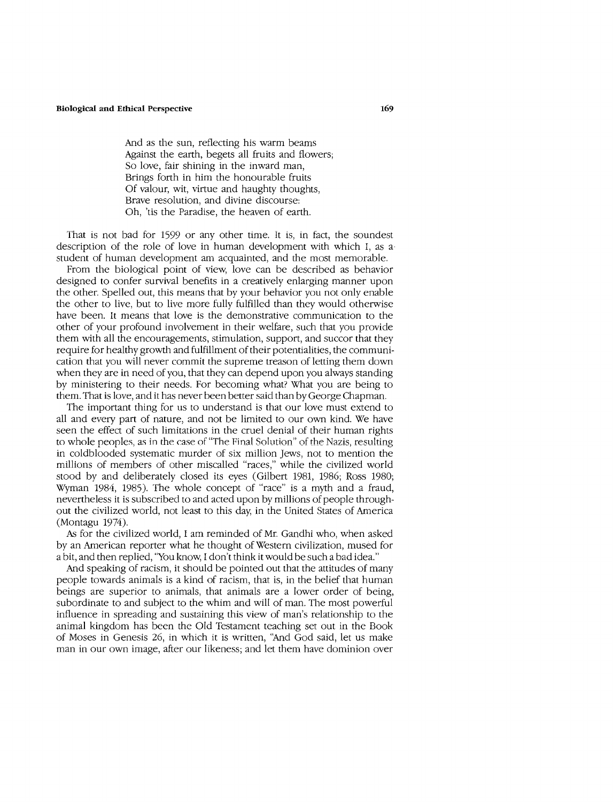And as the sun, reflecting his warm beams Against the earth, begets all fruits and flowers; So love, fair shining in the inward man, Brings forth in him the honourable fruits Of valour, wit, virtue and haughty thoughts, Brave resolution, and divine discourse: Oh, 'tis the Paradise, the heaven of earth.

That is not bad for 1599 or any other time. It is, in fact, the soundest description of the role of love in human development with which I, as a student of human development am acquainted, and the most memorable.

From the biological point of view, love can be described as behavior designed to confer survival benefits in a creatively enlarging manner upon the other. Spelled out, this means that by your behavior you not only enable the other to live, but to live more fully fulfilled than they would otherwise have been. It means that love is the demonstrative communication to the other of your profound involvement in their welfare, such that you provide them with all the encouragements, stimulation, support, and succor that they require for healthy growth and fulfillment of their potentialities, the communication that you will never commit the supreme treason of letting them down when they are in need of you, that they can depend upon you always standing by ministering to their needs. For becoming what? What you are being to them. That is love, and it has never been better said than by George Chapman.

The important thing for us to understand is that our love must extend to all and every part of nature, and not be limited to our own kind. We have seen the effect of such limitations in the cruel denial of their human rights to whole peoples, as in the case of "The Final Solution" of the Nazis, resulting in coldblooded systematic murder of six million Jews, not to mention the millions of members of other miscalled "races," while the civilized world stood by and deliberately closed its eyes (Gilbert 1981, 1986; Ross 1980; Wyman 1984, 1985). The whole concept of "race" is a myth and a fraud, nevertheless it is subscribed to and acted upon by millions of people throughout the civilized world, not least to this day, in the United States of America (Montagu 1974).

As for the civilized world, I am reminded of Mr. Gandhi who, when asked by an American reporter what he thought of Western civilization, mused for a bit, and then replied, "You know, I don't think it would be such a bad idea."

And speaking of racism, it should be pointed out that the attitudes of many people towards animals is a kind of racism, that is, in the belief that human beings are superior to animals, that animals are a lower order of being, subordinate to and subject to the whim and will of man. The most powerful influence in spreading and sustaining this view of man's relationship to the animal kingdom has been the Old Testament teaching set out in the Book of Moses in Genesis 26, in which it is written, "And God said, let us make man in our own image, after our likeness; and let them have dominion over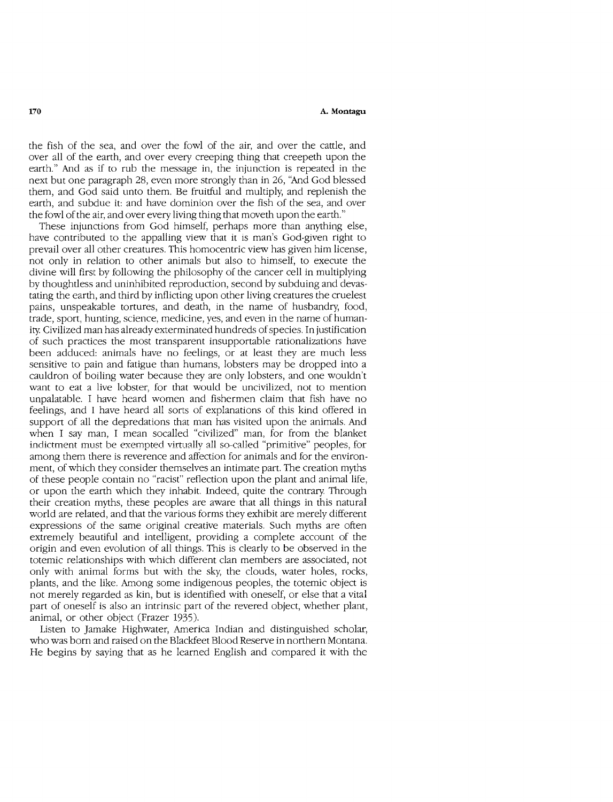the fish of the sea, and over the fowl of the air, and over the cattle, and over all of the earth, and over every creeping thing that creepeth upon the earth." And as if to rub the message in, the injunction is repeated in the next but one paragraph 28, even more strongly than in 26, "And God blessed them, and God said unto them. Be fruitful and multiply, and replenish the earth, and subdue it: and have dominion over the fish of the sea, and over the fowl of the air, and over every living thing that moveth upon the earth."

These injunctions from God himself, perhaps more than anything else, have contributed to the appaliing view that it is man's God-given right to prevail over all other creatures. This homocentric view has given him license, not only in relation to other animals but also to himself, to execute the divine will first by following the philosophy of the cancer cell in multiplying by thoughtless and uninhibited reproduction, second by subduing and devastating the earth, and third by inflicting upon other living creatures the cruelest pains, unspeakable tortures, and death, in the name of husbandry, food, trade, sport, hunting, science, medicine, yes, and even in the name of humanity Civilized man has already exterminated hundreds of species. In justification of such practices the most transparent insupportable rationalizations have been adduced: animals have no feelings, or at least they are much less sensitive to pain and fatigue than humans, lobsters may be dropped into a cauldron of boiling water because they are only lobsters, and one wouldn't want to eat a live lobster, for that would be uncivilized, not to mention unpalatable. I have heard women and fishermen claim that fish have no feelings, and I have heard all sorts of explanations of this kind offered in support of all the depredations that man has visited upon the animals. And when I say man, I mean socalled "civilized" man, for from the blanket indictment must be exempted virtually all so-called "primitive" peoples, for among them there is reverence and affection for animals and for the environment, of which they consider themselves an intimate part. The creation myths of these people contain no "racist" reflection upon the plant and animal life, or upon the earth which they inhabit. Indeed, quite the contrary: Through their creation myths, these peoples are aware that all things in this natural world are related, and that the various forms they exhibit are merely different expressions of the same original creative materials. Such myths are often extremely beautiful and intelligent, providing a complete account of the origin and even evolution of all things. This is clearly to be observed in the totemic relationships with which different clan members are associated, not only with animal forms but with the sky, the clouds, water holes, rocks, plants, and the like. Among some indigenous peoples, the totemic object is not merely regarded as kin, but is identified with oneself, or else that a vital part of oneself is also an intrinsic part of the revered object, whether plant, animal, or other object (Frazer 1935).

Listen to Jamake Highwater, America Indian and distinguished scholar, who was born and raised on the Blackfeet Blood Reserve in northern Montana. He begins by saying that as he learned English and compared it with the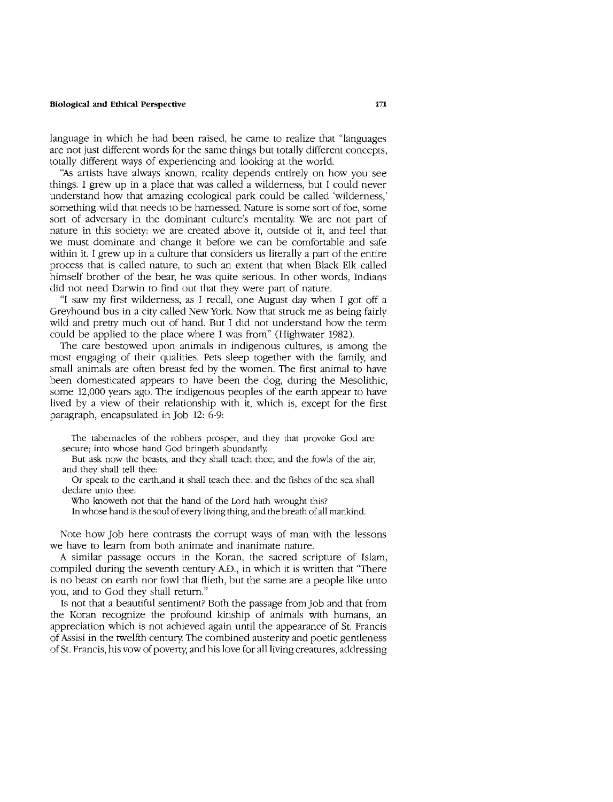language in which he had been raised, he came to realize that "languages are not just different words for the same things but totally different concepts, totally different ways of experiencing and looking at the world.

''As artists have always known, reality depends entirely on how you see things. I grew up in a place that was called a wilderness, but I could never understand how that amazing ecological park could be called 'wilderness,' something wild that needs to be harnessed. Nature is some sort of foe, some sort of adversary in the dominant culture's mentality. We are not part of **nature in this society:** \Ve **are created above it, outside of it, and feel that**  we must dominate and change it before we can be comfortable and safe within it. I grew up in a culture that considers us literally a part of the entire process that is called nature, to such an extent that when Black Elk called himself brother of the bear, he was quite serious. In other words, Indians did not need Darwin to find out that they were part of nature.

"I saw my first wilderness, as I recall, one August day when I got off a Greyhound bus in a city called New York Now that struck me as being fairly wild and pretty much out of hand. But I did not understand how the term could be applied to the place where I was from" (Highwater 1982).

The care bestowed upon animals in indigenous cultures, is among the most engaging of their qualities. Pets sleep together with the family, and small animals are often breast fed by the women. The first animal to have been domesticated appears to have been the dog, during the Mesolithic, some 12,000 years ago. The indigenous peoples of the earth appear to have lived by a view of their relationship with it, which is, except for the first paragraph, encapsulated in Job 12: 6-9:

The tabernacles of the robbers prosper, and they that provoke God are secure; into whose hand God bringeth abundantly.

But ask now the beasts, and they shall teach thee; and the fowls of the air, and they shall tell thee:

Or speak to the earth,and it shall teach thee: and the fishes of the sea shall declare unto thee.

Who knoweth not that the hand of the Lord hath wrought this?

In whose hand is the soul of every living thing, and the breath of all mankind.

Note how Job here contrasts the corrupt ways of man with the lessons we have to learn from both animate and inanimate nature.

A similar passage occurs in the Koran, the sacred scripture of Islam, compiled during the seventh century A.D., in which it is written that "There is no beast on earth nor fowl that flieth, but the same are a people like unto you, and to God they shall return."

Is not that a beautiful sentiment? Both the passage from Job and that from the Koran recognize the profound kinship of animals with humans, an appreciation which is not achieved again until the appearance of St. Francis of Assisi in the twelfth century. The combined austerity and poetic gentleness of St. Francis, his vow of poverty, and his love for all living creatures, addressing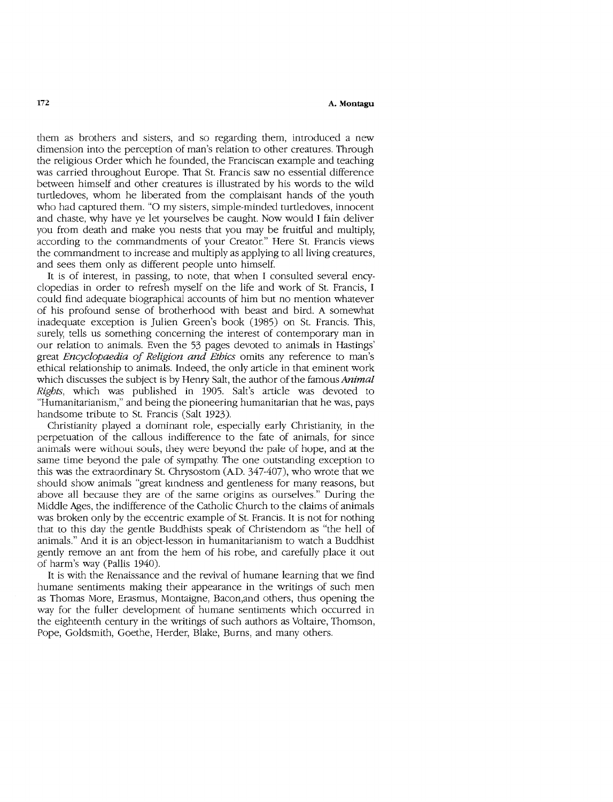them as brothers and sisters, and so regarding them, introduced a new dimension into the perception of man's relation to other creatures. Through the religious Order which he founded, the Franciscan example and teaching was carried throughout Europe. That St. Francis saw no essential difference between himself and other creatures is illustrated by his words to the wild turtledoves, whom he liberated from the complaisant hands of the youth who had captured them. "O my sisters, simple-minded turtledoves, innocent and chaste, why have ye let yourselves be caught. Now would I fain deliver you from death and make you nests that you may be fruitful and multiply, according to the commandments of your Creator." Here St. Francis views the commandment to increase and multiply as applying to all living creatures, and sees them only as different people unto himself.

It is of interest, in passing, to note, that when I consulted several encyclopedias in order to refresh myself on the life and work of St. Francis, I could find adequate biographical accounts of him but no mention whatever of his profound sense of brotherhood with beast and bird. A somewhat inadequate exception is Julien Green's book (1985) on St. Francis. This, surely, tells us something concerning the interest of contemporary man in our relation to animals. Even the 53 pages devoted to animals in Hastings' great *Encyclopaedia of Religion and Ethics* omits any reference to man's ethical relationship to animals. Indeed, the only article in that eminent work which discusses the subject is by Henry Salt, the author of the famous *Animal Rights,* which was published in 1905. Salt's article was devoted to "Humanitarianism," and being the pioneering humanitarian that he was, pays handsome tribute to St. Francis (Salt 1923).

Christianity played a dominant role, especially early Christianity, in the perpetuation of the callous indifference to the fate of animals, for since animals were wiihoui souls, they were beyond the pale of hope, and at the same time beyond the pale of sympathy The one outstanding exception to this was the extraordinary St. Chrysostom (A.D. 347-407), who wrote that we should show animals "great kindness and gentleness for many reasons, but above all because they are of the same origins as ourselves." During the Middle Ages, the indifference of the Catholic Church to the claims of animals was broken only by the eccentric example of St. Francis. It is not for nothing that to this day the gentle Buddhists speak of Christendom as "the hell of animals." And it is an object-lesson in humanitarianism to watch a Buddhist gently remove an ant from the hem of his robe, and carefully place it out of harm's way (Pallis 1940).

It is with the Renaissance and the revival of humane learning that we find humane sentiments making their appearance in the writings of such men as Thomas More, Erasmus, Montaigne, Bacon,and others, thus opening the way for the fuller development of humane sentiments which occurred in the eighteenth century in the writings of such authors as Voltaire, Thomson, Pope, Goldsmith, Goethe, Herder, Blake, Burns, and many others.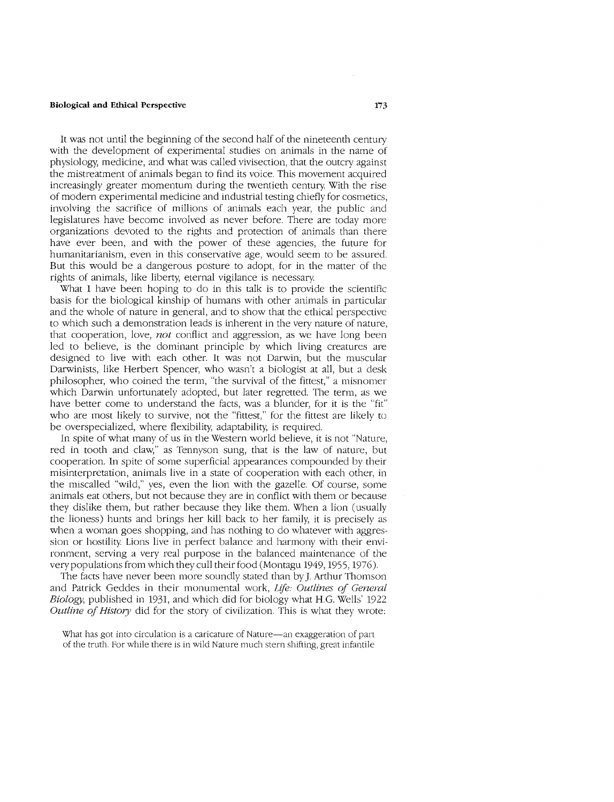It was not until the beginning of the second half of the nineteenth century with the development of experimental studies on animals in the name of physiology, medicine, and what was called vivisection, that the outcry against the mistreatment of animals began to find its voice. This movement acquired increasingly greater momentum during the twentieth century With the rise of modern experimental medicine and industrial testing chiefly for cosmetics, involving the sacrifice of millions of animals each year, the public and legislatures have become involved as never before. There are today more organizations devoted to the rights and protection of animals than there have ever been, and with the power of these agencies, the future for humanitarianism, even in this conservative age, would seem to be assured. But this would be a dangerous posture to adopt, for in the matter of the rights of animals, like liberty, eternal vigilance is necessary

What I have been hoping to do in this talk is to provide the scientific basis for the biological kinship of humans with other animals in particular and the whole of nature in general, and to show that the ethical perspective to which such a demonstration leads is inherent in the very nature of nature, that cooperation, love, *not* conflict and aggression, as we have long been led to believe, is the dominant principle by which living creatures are designed to live with each other. It was not Darwin, but the muscular Darwinists, like Herbert Spencer, who wasn't a biologist at all, but a desk philosopher, who coined the term, "the survival of the fittest," a misnomer which Darwin unfortunately adopted, but later regretted. The term, as we have better come to understand the facts, was a blunder, for it is the "fit" who are most likely to survive, not the "fittest," for the fittest are likely to be overspecialized, where flexibility, adaptability, is required.

In spite of what many of us in the Western world believe, it is not "Nature, red in tooth and claw," as Tennyson sung, that is the law of nature, but cooperation. In spite of some superficial appearances compounded by their misinterpretation, animals live in a state of cooperation with each other, in the miscalled "wild," yes, even the lion with the gazelle. Of course, some animals eat others, but not because they are in conflict with them or because they dislike them, but rather because they like them. When a lion (usually the lioness) hunts and brings her kill back to her family, it is precisely as when a woman goes shopping, and has nothing to do whatever with aggression or hostility Lions live in perfect balance and harmony with their environment, serving a very real purpose in the balanced maintenance of the very populations from which they cull their food (Montagu 1949, 1955, 1976).

The facts have never been more soundly stated than by]. Arthur Thomson and Patrick Geddes in their monumental work, *Life: Outlines of General Biology,* published in 1931, and which did for biology what H.G. Wells' 1922 *Outline of History* did for the story of civilization. This is what they wrote:

What has got into circulation is a caricature of Nature-an exaggeration of part of the truth. For while there is in wild Nature much stern shifting, great infantile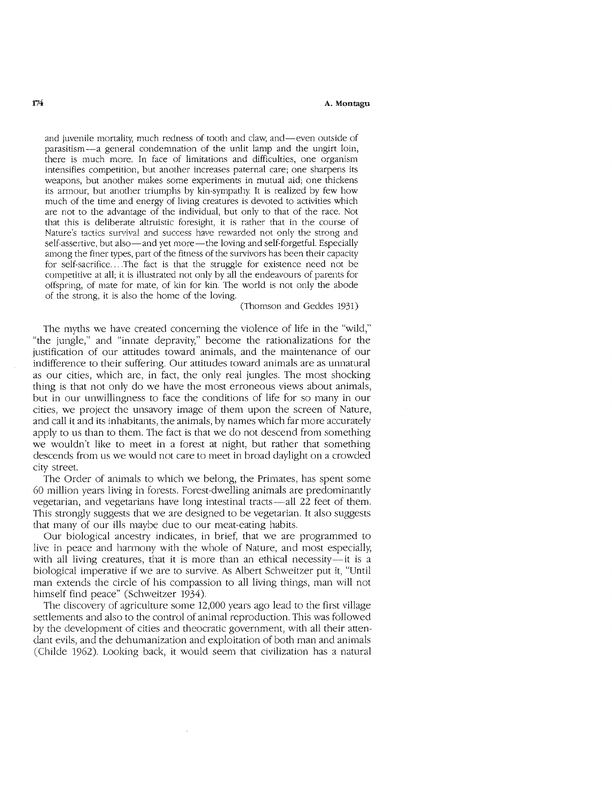and juvenile mortality, much redness of tooth and claw, and—even outside of parasitism-a general condemnation of the unlit lamp and the ungirt loin, there is much more. In face of limitations and difficulties, one organism intensifies competition, but another increases paternal care; one sharpens its weapons, but another makes some experiments in mutual aid; one thickens its armour, but another triumphs by kin-sympathy It is realized by few how much of the time and energy of living creatures is devoted to activities which are not to the advantage of the individual, but only to that of the race. Not that this is deliberate altruistic foresight, it is rather that in the course of Nature's tactics survival and success have rewarded not only the strong and self-assertive, but also—and yet more—the loving and self-forgetful. Especially among the finer types, part of the fitness of the survivors has been their capacity for self-sacrifice .... The fact is that the struggle for existence need not be competitive at all; it is illustrated not only by all the endeavours of parents for offspring, of mate for mate, of kin for kin. The world is not only the abode of the strong, it is also the home of the loving.

(Thomson and Geddes 1931)

The myths we have created concerning the violence of life in the "wild," "the jungle," and "innate depravity," become the rationalizations for the justification of our attitudes toward animals, and the maintenance of our indifference to their suffering. Our attitudes toward animals are as unnatural as our cities, which are, in fact, the only real jungles. The most shocking thing is that not only do we have the most erroneous views about animals, but in our unwillingness to face the conditions of life for so many in our cities, we project the unsavory image of them upon the screen of Nature, and call it and its inhabitants, the animals, by names which far more accurately apply to us than to them. The fact is that we do not descend from something we wouldn't like to meet in a forest at night, but rather that something descends from us we would not care to meet in broad daylight on a crowded city street.

The Order of animals to which we belong, the Primates, has spent some 60 million years living in forests. Forest-dwelling animals are predominantly vegetarian, and vegetarians have long intestinal tracts-all 22 feet of them. This strongly suggests that we are designed to be vegetarian. It also suggests that many of our ills maybe due to our meat-eating habits.

Our biological ancestry indicates, in brief, that we are programmed to live in peace and harmony with the whole of Nature, and most especially, with all living creatures, that it is more than an ethical necessity-it is a biological imperative if we are to survive. *As* Albert Schweitzer put it, "Until man extends the circle of his compassion to all living things, man will not himself find peace" (Schweitzer 1934).

The discovery of agriculture some 12,000 years ago lead to the first village settlements and also to the control of animal reproduction. This was followed by the development of cities and theocratic government, with all their attendant evils, and the dehumanization and exploitation of both man and animals (Childe 1962). Looking back, it would seem that civilization has a natural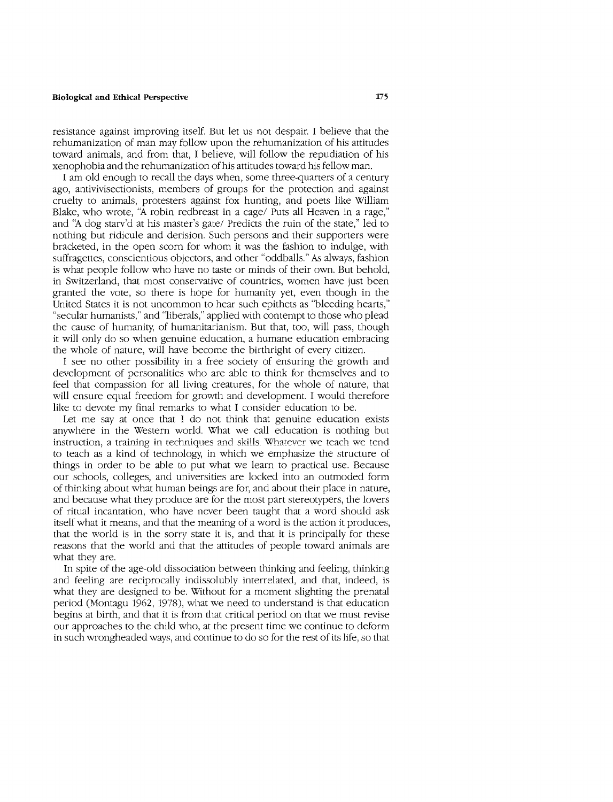resistance against improving itself. But let us not despair. I believe that the rehumanization of man may follow upon the rehumanization of his attitudes toward animals, and from that, I believe, will follow the repudiation of his xenophobia and the rehumanization of his attitudes toward his fellow man.

I am old enough to recall the days when, some three-quarters of a century ago, antivivisectionists, members of groups for the protection and against cruelty to animals, protesters against fox hunting, and poets like William Blake, who wrote, "A robin redbreast in a cage/ Puts all Heaven in a rage," and ''A dog starv'd at his master's gate/ Predicts the ruin of the state," led to nothing but ridicule and derision. Such persons and their supporters were bracketed, in the open scorn for whom it was the fashion to indulge, with suffragettes, conscientious objectors, and other "oddballs." As always, fashion is what people follow who have no taste or minds of their own. But behold, in Switzerland, that most conservative of countries, women have just been granted the vote, so there is hope for humanity yet, even though in the United States it is not uncommon to hear such epithets as "bleeding hearts," "secular humanists," and "liberals," applied with contempt to those who plead the cause of humanity, of humanitarianism. But that, too, will pass, though it will only do so when genuine education, a humane education embracing the whole of nature, will have become the birthright of every citizen.

I see no other possibility in a free society of ensuring the growth and development of personalities who are able to think for themselves and to feel that compassion for all living creatures, for the whole of nature, that will ensure equal freedom for growth and development. I would therefore like to devote my final remarks to what I consider education to be.

Let me say at once that I do not think that genuine education exists anywhere in the Western world. What we call education is nothing but instruction, a training in techniques and skills. Whatever we teach we tend to teach as a kind of technology, in which we emphasize the structure of things in order to be able to put what we learn to practical use. Because our schools, colleges, and universities are locked into an outmoded form of thinking about what human beings are for, and about their place in nature, and because what they produce are for the most part stereotypers, the lovers of ritual incantation, who have never been taught that a word should ask itself what it means, and that the meaning of a word is the action it produces, that the world is in the sorry state it is, and that it is principally for these reasons that the world and that the attitudes of people toward animals are what they are.

In spite of the age-old dissociation between thinking and feeling, thinking and feeling are reciprocally indissolubly interrelated, and that, indeed, is what they are designed to be. Without for a moment slighting the prenatal period (Montagu 1962, 1978), what we need to understand is that education begins at birth, and that it is from that critical period on that we must revise our approaches to the child who, at the present time we continue to deform in such wrongheaded ways, and continue to do so for the rest of its life, so that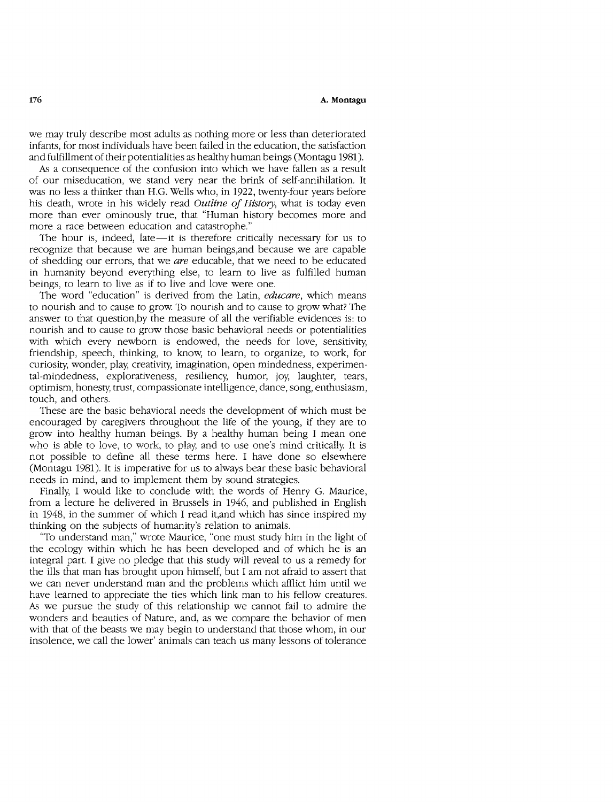we may truly describe most adults as nothing more or less than deteriorated infants, for most individuals have been failed in the education, the satisfaction and fulfillment of their potentialities as healthy human beings (Montagu 1981 ).

As a consequence of the confusion into which we have fallen as a result of our miseducation, we stand very near the brink of self-annihilation. It was no less a thinker than H.G. Wells who, in 1922, twenty-four years before his death, wrote in his widely read *Outline of History,* what is today even more than ever ominously true, that "Human history becomes more and more a race between education and catastrophe."

The hour is, indeed, late-it is therefore critically necessary for us to recognize that because we are human beings,and because we are capable of shedding our errors, that we *are* educable, that we need to be educated in humanity beyond everything else, to learn to live as fulfilled human beings, to learn to live as if to live and love were one.

The word "education" is derived from the Latin, *educare,* which means to nourish and to cause to grow. To nourish and to cause to grow what? The answer to that question,by the measure of all the verifiable evidences is: to nourish and to cause to grow those basic behavioral needs or potentialities with which every newborn is endowed, the needs for love, sensitivity, friendship, speech, thinking, to know, to learn, to organize, to work, for curiosity, wonder, play, creativity, imagination, open mindedness, experimental-mindedness, explorativeness, resiliency, humor, joy, laughter, tears, optimism, honesty, trust, compassionate intelligence, dance, song, enthusiasm, touch, and others.

These are the basic behavioral needs the development of which must be encouraged by caregivers throughout the life of the young, if they are to grow into healthy human beings. By a healthy human being I mean one who is able to love, to work, to play, and to use one's mind critically. It is not possible to define all these terms here. I have done so elsewhere (Montagu 1981). It is imperative for us to always bear these basic behavioral needs in mind, and to implement them by sound strategies.

Finally, I would like to conclude with the words of Henry G. Maurice, from a lecture he delivered in Brussels in 1946, and published in English in 1948, in the summer of which I read it,and which has since inspired my thinking on the subjects of humanity's relation to animals.

"To understand man," wrote Maurice, "one must study him in the light of the ecology within which he has been developed and of which he is an integral part. I give no pledge that this study will reveal to us a remedy for the ills that man has brought upon himself, but I am not afraid to assert that we can never understand man and the problems which afflict him until we have learned to appreciate the ties which link man to his fellow creatures. As we pursue the study of this relationship we cannot fail to admire the wonders and beauties of Nature, and, as we compare the behavior of men with that of the beasts we may begin to understand that those whom, in our insolence, we call the lower' animals can teach us many lessons of tolerance